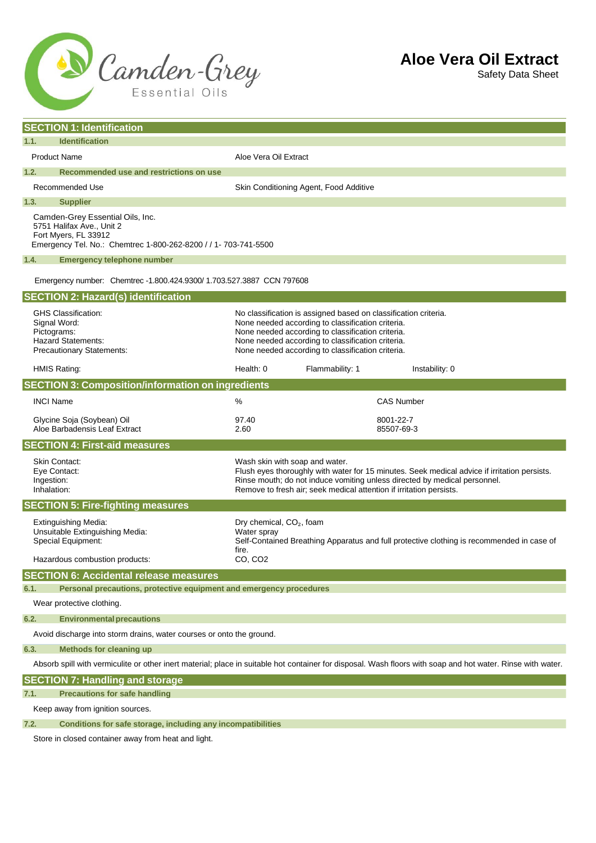

Safety Data Sheet

| <b>SECTION 1: Identification</b>                                                                                                                            |                                                                                                                                                                                  |                                                                                                                                                                                                                                                                                     |                         |  |
|-------------------------------------------------------------------------------------------------------------------------------------------------------------|----------------------------------------------------------------------------------------------------------------------------------------------------------------------------------|-------------------------------------------------------------------------------------------------------------------------------------------------------------------------------------------------------------------------------------------------------------------------------------|-------------------------|--|
| 1.1.<br><b>Identification</b>                                                                                                                               |                                                                                                                                                                                  |                                                                                                                                                                                                                                                                                     |                         |  |
| <b>Product Name</b>                                                                                                                                         | Aloe Vera Oil Extract                                                                                                                                                            |                                                                                                                                                                                                                                                                                     |                         |  |
| 1.2.<br>Recommended use and restrictions on use                                                                                                             |                                                                                                                                                                                  |                                                                                                                                                                                                                                                                                     |                         |  |
| Recommended Use                                                                                                                                             | Skin Conditioning Agent, Food Additive                                                                                                                                           |                                                                                                                                                                                                                                                                                     |                         |  |
| 1.3.<br><b>Supplier</b>                                                                                                                                     |                                                                                                                                                                                  |                                                                                                                                                                                                                                                                                     |                         |  |
| Camden-Grey Essential Oils, Inc.<br>5751 Halifax Ave., Unit 2<br>Fort Myers, FL 33912<br>Emergency Tel. No.: Chemtrec 1-800-262-8200 / / 1- 703-741-5500    |                                                                                                                                                                                  |                                                                                                                                                                                                                                                                                     |                         |  |
| 1.4.<br><b>Emergency telephone number</b>                                                                                                                   |                                                                                                                                                                                  |                                                                                                                                                                                                                                                                                     |                         |  |
| Emergency number: Chemtrec -1.800.424.9300/1.703.527.3887 CCN 797608                                                                                        |                                                                                                                                                                                  |                                                                                                                                                                                                                                                                                     |                         |  |
| <b>SECTION 2: Hazard(s) identification</b>                                                                                                                  |                                                                                                                                                                                  |                                                                                                                                                                                                                                                                                     |                         |  |
| <b>GHS Classification:</b><br>Signal Word:<br>Pictograms:<br><b>Hazard Statements:</b><br><b>Precautionary Statements:</b>                                  |                                                                                                                                                                                  | No classification is assigned based on classification criteria.<br>None needed according to classification criteria.<br>None needed according to classification criteria.<br>None needed according to classification criteria.<br>None needed according to classification criteria. |                         |  |
| <b>HMIS Rating:</b>                                                                                                                                         | Health: 0                                                                                                                                                                        | Flammability: 1                                                                                                                                                                                                                                                                     | Instability: 0          |  |
| <b>SECTION 3: Composition/information on ingredients</b>                                                                                                    |                                                                                                                                                                                  |                                                                                                                                                                                                                                                                                     |                         |  |
| <b>INCI Name</b>                                                                                                                                            | %                                                                                                                                                                                |                                                                                                                                                                                                                                                                                     | <b>CAS Number</b>       |  |
| Glycine Soja (Soybean) Oil<br>Aloe Barbadensis Leaf Extract                                                                                                 | 97.40<br>2.60                                                                                                                                                                    |                                                                                                                                                                                                                                                                                     | 8001-22-7<br>85507-69-3 |  |
| <b>SECTION 4: First-aid measures</b>                                                                                                                        |                                                                                                                                                                                  |                                                                                                                                                                                                                                                                                     |                         |  |
| Skin Contact:<br>Eye Contact:<br>Ingestion:<br>Inhalation:                                                                                                  |                                                                                                                                                                                  | Wash skin with soap and water.<br>Flush eyes thoroughly with water for 15 minutes. Seek medical advice if irritation persists.<br>Rinse mouth; do not induce vomiting unless directed by medical personnel.<br>Remove to fresh air; seek medical attention if irritation persists.  |                         |  |
| <b>SECTION 5: Fire-fighting measures</b>                                                                                                                    |                                                                                                                                                                                  |                                                                                                                                                                                                                                                                                     |                         |  |
| Extinguishing Media:<br>Unsuitable Extinguishing Media:<br>Special Equipment:<br>Hazardous combustion products:                                             | Dry chemical, CO <sub>2</sub> , foam<br>Water spray<br>Self-Contained Breathing Apparatus and full protective clothing is recommended in case of<br>fire.<br>CO, CO <sub>2</sub> |                                                                                                                                                                                                                                                                                     |                         |  |
| <b>SECTION 6: Accidental release measures</b>                                                                                                               |                                                                                                                                                                                  |                                                                                                                                                                                                                                                                                     |                         |  |
| Personal precautions, protective equipment and emergency procedures<br>6.1.                                                                                 |                                                                                                                                                                                  |                                                                                                                                                                                                                                                                                     |                         |  |
| Wear protective clothing.                                                                                                                                   |                                                                                                                                                                                  |                                                                                                                                                                                                                                                                                     |                         |  |
| 6.2.<br><b>Environmental precautions</b>                                                                                                                    |                                                                                                                                                                                  |                                                                                                                                                                                                                                                                                     |                         |  |
| Avoid discharge into storm drains, water courses or onto the ground.                                                                                        |                                                                                                                                                                                  |                                                                                                                                                                                                                                                                                     |                         |  |
| <b>Methods for cleaning up</b><br>6.3.                                                                                                                      |                                                                                                                                                                                  |                                                                                                                                                                                                                                                                                     |                         |  |
| Absorb spill with vermiculite or other inert material; place in suitable hot container for disposal. Wash floors with soap and hot water. Rinse with water. |                                                                                                                                                                                  |                                                                                                                                                                                                                                                                                     |                         |  |
| <b>SECTION 7: Handling and storage</b>                                                                                                                      |                                                                                                                                                                                  |                                                                                                                                                                                                                                                                                     |                         |  |
| <b>Precautions for safe handling</b><br>7.1.                                                                                                                |                                                                                                                                                                                  |                                                                                                                                                                                                                                                                                     |                         |  |
| Keep away from ignition sources.                                                                                                                            |                                                                                                                                                                                  |                                                                                                                                                                                                                                                                                     |                         |  |
| Conditions for safe storage, including any incompatibilities<br>7.2.                                                                                        |                                                                                                                                                                                  |                                                                                                                                                                                                                                                                                     |                         |  |

Store in closed container away from heat and light.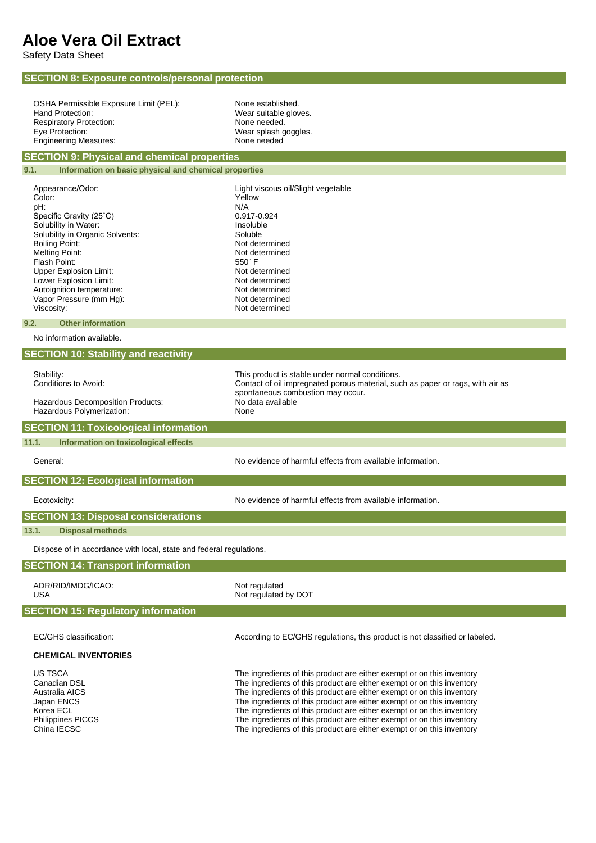## **Aloe Vera Oil Extract**

Safety Data Sheet

| <b>SECTION 8: Exposure controls/personal protection</b>             |                                                                                                                                                  |  |  |  |
|---------------------------------------------------------------------|--------------------------------------------------------------------------------------------------------------------------------------------------|--|--|--|
|                                                                     |                                                                                                                                                  |  |  |  |
| OSHA Permissible Exposure Limit (PEL):                              | None established.                                                                                                                                |  |  |  |
| Hand Protection:<br><b>Respiratory Protection:</b>                  | Wear suitable gloves.<br>None needed.                                                                                                            |  |  |  |
| Eye Protection:                                                     | Wear splash goggles.                                                                                                                             |  |  |  |
| <b>Engineering Measures:</b>                                        | None needed                                                                                                                                      |  |  |  |
| <b>SECTION 9: Physical and chemical properties</b>                  |                                                                                                                                                  |  |  |  |
| Information on basic physical and chemical properties<br>9.1.       |                                                                                                                                                  |  |  |  |
| Appearance/Odor:                                                    | Light viscous oil/Slight vegetable                                                                                                               |  |  |  |
| Color:                                                              | Yellow                                                                                                                                           |  |  |  |
| pH:<br>Specific Gravity (25°C)                                      | N/A<br>0.917-0.924                                                                                                                               |  |  |  |
| Solubility in Water:                                                | Insoluble                                                                                                                                        |  |  |  |
| Solubility in Organic Solvents:                                     | Soluble                                                                                                                                          |  |  |  |
| <b>Boiling Point:</b><br><b>Melting Point:</b>                      | Not determined<br>Not determined                                                                                                                 |  |  |  |
| Flash Point:                                                        | $550^\circ$ F                                                                                                                                    |  |  |  |
| Upper Explosion Limit:<br>Lower Explosion Limit:                    | Not determined<br>Not determined                                                                                                                 |  |  |  |
| Autoignition temperature:                                           | Not determined                                                                                                                                   |  |  |  |
| Vapor Pressure (mm Hg):                                             | Not determined                                                                                                                                   |  |  |  |
| Viscosity:                                                          | Not determined                                                                                                                                   |  |  |  |
| <b>Other information</b><br>9.2.<br>No information available.       |                                                                                                                                                  |  |  |  |
|                                                                     |                                                                                                                                                  |  |  |  |
| <b>SECTION 10: Stability and reactivity</b>                         |                                                                                                                                                  |  |  |  |
| Stability:                                                          | This product is stable under normal conditions.                                                                                                  |  |  |  |
| Conditions to Avoid:                                                | Contact of oil impregnated porous material, such as paper or rags, with air as<br>spontaneous combustion may occur.                              |  |  |  |
| Hazardous Decomposition Products:                                   | No data available                                                                                                                                |  |  |  |
| Hazardous Polymerization:                                           | None                                                                                                                                             |  |  |  |
| <b>SECTION 11: Toxicological information</b>                        |                                                                                                                                                  |  |  |  |
| 11.1.<br>Information on toxicological effects                       |                                                                                                                                                  |  |  |  |
| General:                                                            | No evidence of harmful effects from available information.                                                                                       |  |  |  |
| <b>SECTION 12: Ecological information</b>                           |                                                                                                                                                  |  |  |  |
| Ecotoxicity:                                                        | No evidence of harmful effects from available information.                                                                                       |  |  |  |
| <b>SECTION 13: Disposal considerations</b>                          |                                                                                                                                                  |  |  |  |
| 13.1.<br><b>Disposal methods</b>                                    |                                                                                                                                                  |  |  |  |
| Dispose of in accordance with local, state and federal regulations. |                                                                                                                                                  |  |  |  |
| <b>SECTION 14: Transport information</b>                            |                                                                                                                                                  |  |  |  |
| ADR/RID/IMDG/ICAO:                                                  | Not regulated                                                                                                                                    |  |  |  |
| USA                                                                 | Not regulated by DOT                                                                                                                             |  |  |  |
| <b>SECTION 15: Regulatory information</b>                           |                                                                                                                                                  |  |  |  |
| EC/GHS classification:                                              | According to EC/GHS regulations, this product is not classified or labeled.                                                                      |  |  |  |
| <b>CHEMICAL INVENTORIES</b>                                         |                                                                                                                                                  |  |  |  |
| US TSCA                                                             |                                                                                                                                                  |  |  |  |
| Canadian DSL                                                        | The ingredients of this product are either exempt or on this inventory<br>The ingredients of this product are either exempt or on this inventory |  |  |  |
| <b>Australia AICS</b>                                               | The ingredients of this product are either exempt or on this inventory                                                                           |  |  |  |
| Japan ENCS<br>Korea ECL                                             | The ingredients of this product are either exempt or on this inventory<br>The ingredients of this product are either exempt or on this inventory |  |  |  |
| Philippines PICCS                                                   | The ingredients of this product are either exempt or on this inventory                                                                           |  |  |  |
| China IECSC                                                         | The ingredients of this product are either exempt or on this inventory                                                                           |  |  |  |